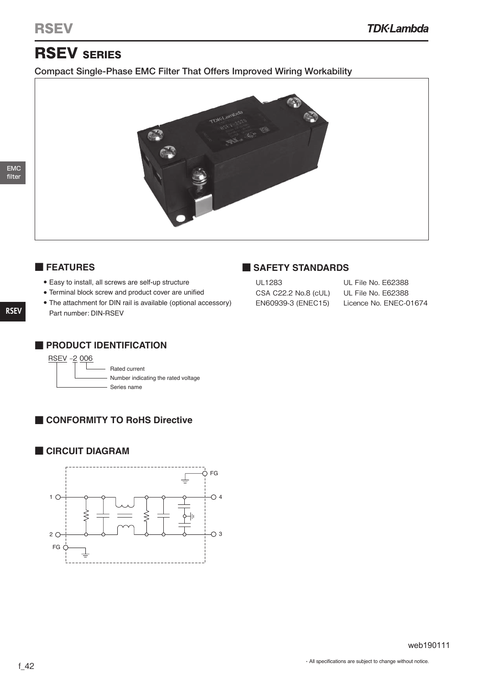# **RSEV SERIES**

Compact Single-Phase EMC Filter That Offers Improved Wiring Workability



**RSEV**

#### **■ FEATURES**

- Easy to install, all screws are self-up structure
- Terminal block screw and product cover are unified
- The attachment for DIN rail is available (optional accessory) Part number: DIN-RSEV

## **■ SAFETY STANDARDS**

CSA C22.2 No.8 (cUL) UL File No. E62388

UL1283 UL File No. E62388 EN60939-3 (ENEC15) Licence No. ENEC-01674

#### **■ PRODUCT IDENTIFICATION**

RSEV ‒2 006



## Rated current

- Number indicating the rated voltage - Series name

### **■ CONFORMITY TO RoHS Directive**

#### **■ CIRCUIT DIAGRAM**

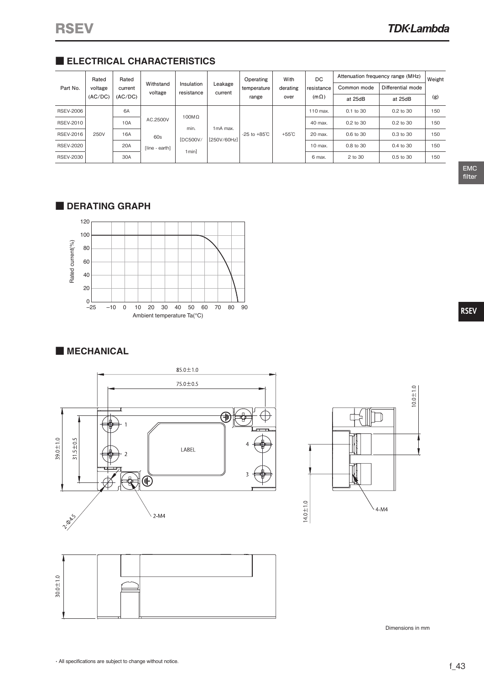#### **■ ELECTRICAL CHARACTERISTICS**

| Part No.         | Rated<br>voltage<br>(AC/DC) | Rated<br>current<br>(AC/DC) | Withstand<br>voltage | Insulation<br>resistance | Leakage<br>current                   | Operating<br>temperature<br>range | With<br>derating<br>over | DC<br>resistance<br>$(m \Omega)$ | Attenuation frequency range (MHz) |                   | Weight |
|------------------|-----------------------------|-----------------------------|----------------------|--------------------------|--------------------------------------|-----------------------------------|--------------------------|----------------------------------|-----------------------------------|-------------------|--------|
|                  |                             |                             |                      |                          |                                      |                                   |                          |                                  | Common mode                       | Differential mode |        |
|                  |                             |                             |                      |                          |                                      |                                   |                          |                                  | at 25dB                           | at 25dB           | (g)    |
| <b>RSEV-2006</b> | 250V                        | 6A                          | AC.2500V             | $100M\Omega$<br>min.     | 1 <sub>m</sub> A max.<br>[250V/60Hz] | $-25$ to $+85^{\circ}$ C          | $+55^{\circ}$ C          | 110 max.                         | 0.1 to 30                         | 0.2 to 30         | 150    |
| <b>RSEV-2010</b> |                             | 10A                         |                      |                          |                                      |                                   |                          | 40 max.                          | 0.2 to 30                         | 0.2 to 30         | 150    |
| <b>RSEV-2016</b> |                             | 16A                         | 60s                  | [DC500V/                 |                                      |                                   |                          | 20 max.                          | 0.6 to 30                         | 0.3 to 30         | 150    |
| <b>RSEV-2020</b> |                             | 20A                         | [line - earth]       | 1 <sub>min</sub> ]       |                                      |                                   |                          | 10 max.                          | 0.8 to 30                         | 0.4 to 30         | 150    |
| <b>RSEV-2030</b> |                             | 30A                         |                      |                          |                                      |                                   |                          | 6 max.                           | 2 to 30                           | 0.5 to 30         | 150    |

EMC filter

#### **■ DERATING GRAPH**



#### **■ MECHANICAL**





 $10.0 + 1.0$ Ľ  $\Box$  $14.0 \pm 1.0$  $4-M4$ 

Dimensions in mm